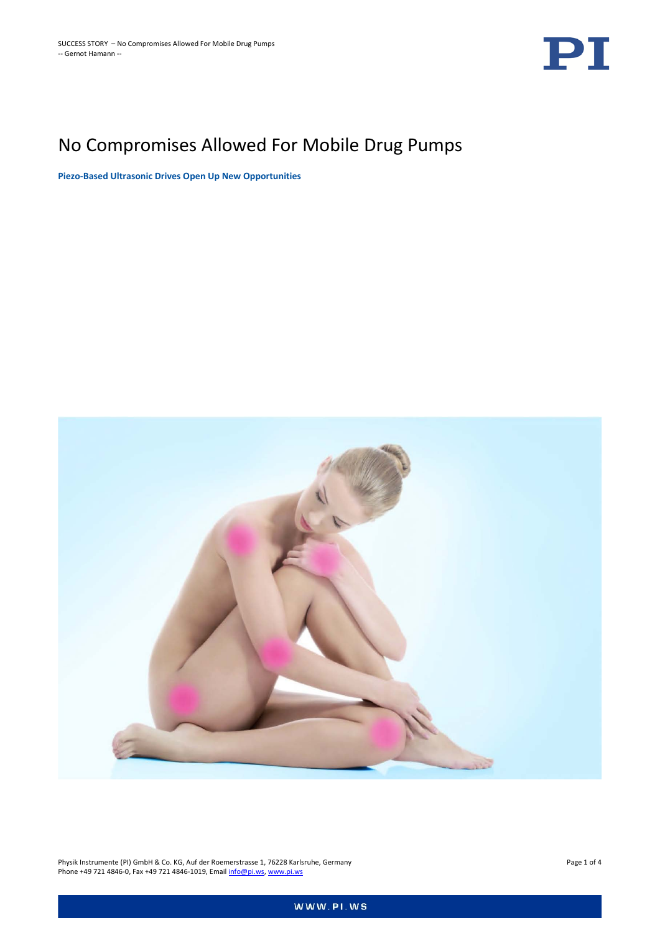

# No Compromises Allowed For Mobile Drug Pumps

**Piezo-Based Ultrasonic Drives Open Up New Opportunities**



Physik Instrumente (PI) GmbH & Co. KG, Auf der Roemerstrasse 1, 76228 Karlsruhe, Germany Page 1 of 4 Phone +49 721 4846-0, Fax +49 721 4846-1019, Emai[l info@pi.ws,](mailto:info@pi.ws) [www.pi.ws](http://www.pi.ws/)

WWW.PI.WS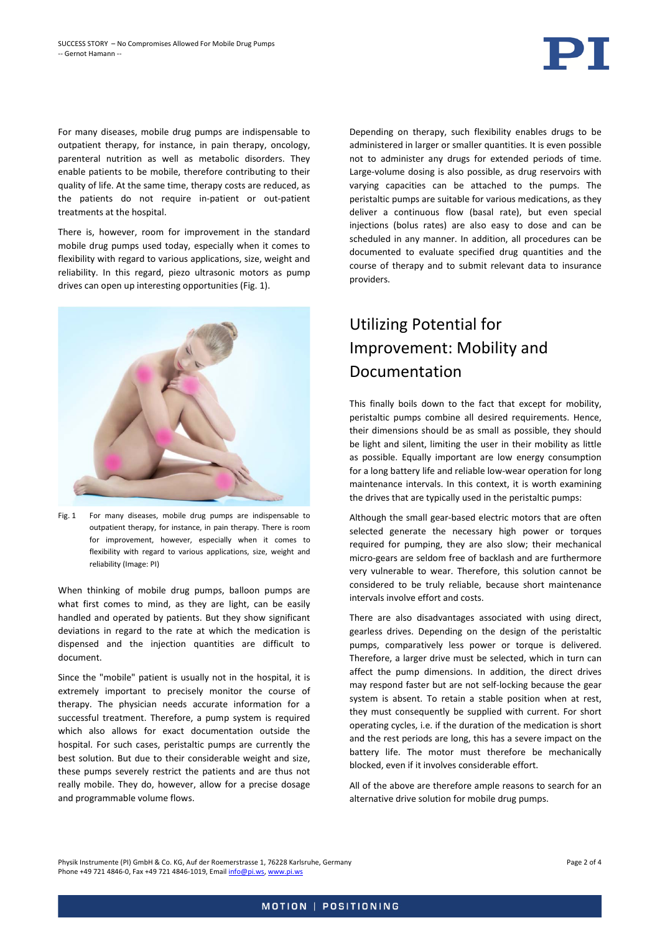

For many diseases, mobile drug pumps are indispensable to outpatient therapy, for instance, in pain therapy, oncology, parenteral nutrition as well as metabolic disorders. They enable patients to be mobile, therefore contributing to their quality of life. At the same time, therapy costs are reduced, as the patients do not require in-patient or out-patient treatments at the hospital.

There is, however, room for improvement in the standard mobile drug pumps used today, especially when it comes to flexibility with regard to various applications, size, weight and reliability. In this regard, piezo ultrasonic motors as pump drives can open up interesting opportunities (Fig. 1).



Fig. 1 For many diseases, mobile drug pumps are indispensable to outpatient therapy, for instance, in pain therapy. There is room for improvement, however, especially when it comes to flexibility with regard to various applications, size, weight and reliability (Image: PI)

When thinking of mobile drug pumps, balloon pumps are what first comes to mind, as they are light, can be easily handled and operated by patients. But they show significant deviations in regard to the rate at which the medication is dispensed and the injection quantities are difficult to document.

Since the "mobile" patient is usually not in the hospital, it is extremely important to precisely monitor the course of therapy. The physician needs accurate information for a successful treatment. Therefore, a pump system is required which also allows for exact documentation outside the hospital. For such cases, peristaltic pumps are currently the best solution. But due to their considerable weight and size, these pumps severely restrict the patients and are thus not really mobile. They do, however, allow for a precise dosage and programmable volume flows.

Depending on therapy, such flexibility enables drugs to be administered in larger or smaller quantities. It is even possible not to administer any drugs for extended periods of time. Large-volume dosing is also possible, as drug reservoirs with varying capacities can be attached to the pumps. The peristaltic pumps are suitable for various medications, as they deliver a continuous flow (basal rate), but even special injections (bolus rates) are also easy to dose and can be scheduled in any manner. In addition, all procedures can be documented to evaluate specified drug quantities and the course of therapy and to submit relevant data to insurance providers.

## Utilizing Potential for Improvement: Mobility and Documentation

This finally boils down to the fact that except for mobility, peristaltic pumps combine all desired requirements. Hence, their dimensions should be as small as possible, they should be light and silent, limiting the user in their mobility as little as possible. Equally important are low energy consumption for a long battery life and reliable low-wear operation for long maintenance intervals. In this context, it is worth examining the drives that are typically used in the peristaltic pumps:

Although the small gear-based electric motors that are often selected generate the necessary high power or torques required for pumping, they are also slow; their mechanical micro-gears are seldom free of backlash and are furthermore very vulnerable to wear. Therefore, this solution cannot be considered to be truly reliable, because short maintenance intervals involve effort and costs.

There are also disadvantages associated with using direct, gearless drives. Depending on the design of the peristaltic pumps, comparatively less power or torque is delivered. Therefore, a larger drive must be selected, which in turn can affect the pump dimensions. In addition, the direct drives may respond faster but are not self-locking because the gear system is absent. To retain a stable position when at rest, they must consequently be supplied with current. For short operating cycles, i.e. if the duration of the medication is short and the rest periods are long, this has a severe impact on the battery life. The motor must therefore be mechanically blocked, even if it involves considerable effort.

All of the above are therefore ample reasons to search for an alternative drive solution for mobile drug pumps.

Physik Instrumente (PI) GmbH & Co. KG, Auf der Roemerstrasse 1, 76228 Karlsruhe, Germany Page 2 of 4 Phone +49 721 4846-0, Fax +49 721 4846-1019, Emai[l info@pi.ws,](mailto:info@pi.ws) [www.pi.ws](http://www.pi.ws/)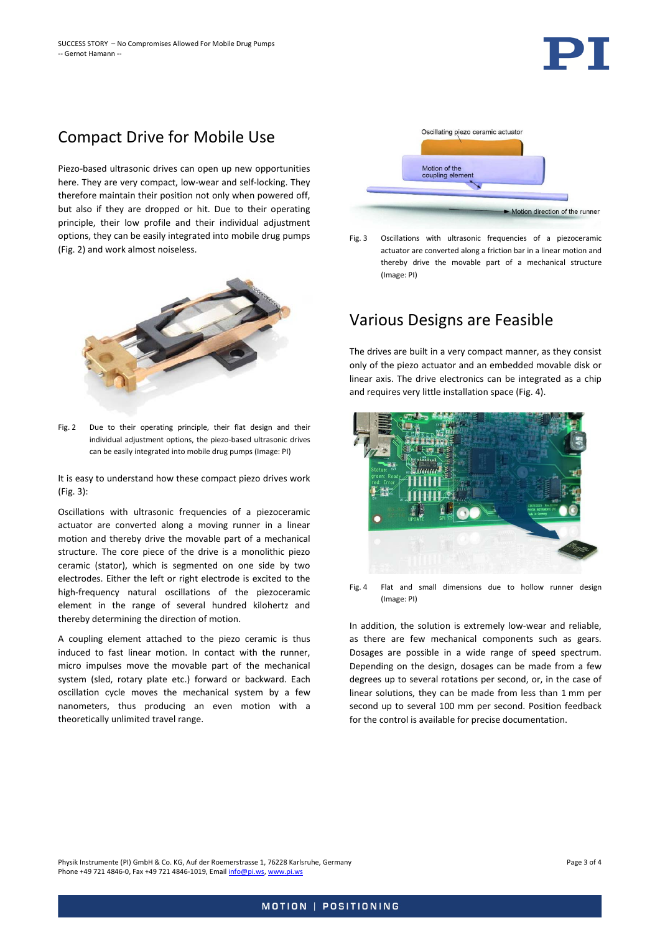

### Compact Drive for Mobile Use

Piezo-based ultrasonic drives can open up new opportunities here. They are very compact, low-wear and self-locking. They therefore maintain their position not only when powered off, but also if they are dropped or hit. Due to their operating principle, their low profile and their individual adjustment options, they can be easily integrated into mobile drug pumps (Fig. 2) and work almost noiseless.



Fig. 2 Due to their operating principle, their flat design and their individual adjustment options, the piezo-based ultrasonic drives can be easily integrated into mobile drug pumps (Image: PI)

It is easy to understand how these compact piezo drives work (Fig. 3):

Oscillations with ultrasonic frequencies of a piezoceramic actuator are converted along a moving runner in a linear motion and thereby drive the movable part of a mechanical structure. The core piece of the drive is a monolithic piezo ceramic (stator), which is segmented on one side by two electrodes. Either the left or right electrode is excited to the high-frequency natural oscillations of the piezoceramic element in the range of several hundred kilohertz and thereby determining the direction of motion.

A coupling element attached to the piezo ceramic is thus induced to fast linear motion. In contact with the runner, micro impulses move the movable part of the mechanical system (sled, rotary plate etc.) forward or backward. Each oscillation cycle moves the mechanical system by a few nanometers, thus producing an even motion with a theoretically unlimited travel range.



Fig. 3 Oscillations with ultrasonic frequencies of a piezoceramic actuator are converted along a friction bar in a linear motion and thereby drive the movable part of a mechanical structure (Image: PI)

#### Various Designs are Feasible

The drives are built in a very compact manner, as they consist only of the piezo actuator and an embedded movable disk or linear axis. The drive electronics can be integrated as a chip and requires very little installation space [\(Fig. 4\)](#page-2-0).



Fig. 4 Flat and small dimensions due to hollow runner design (Image: PI)

<span id="page-2-0"></span>In addition, the solution is extremely low-wear and reliable, as there are few mechanical components such as gears. Dosages are possible in a wide range of speed spectrum. Depending on the design, dosages can be made from a few degrees up to several rotations per second, or, in the case of linear solutions, they can be made from less than 1 mm per second up to several 100 mm per second. Position feedback for the control is available for precise documentation.

Physik Instrumente (PI) GmbH & Co. KG, Auf der Roemerstrasse 1, 76228 Karlsruhe, Germany Page 3 of 4 Phone +49 721 4846-0, Fax +49 721 4846-1019, Emai[l info@pi.ws,](mailto:info@pi.ws) [www.pi.ws](http://www.pi.ws/)